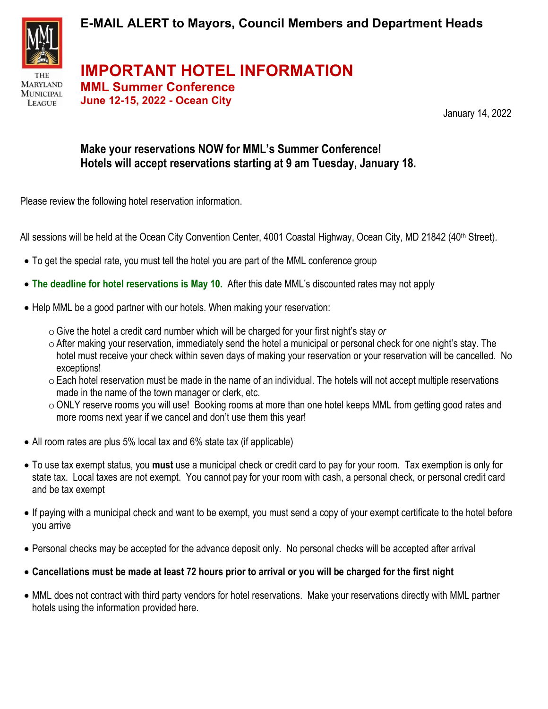

**MARYLAND MUNICIPAL LEAGUE** 

**E-MAIL ALERT to Mayors, Council Members and Department Heads**

**IMPORTANT HOTEL INFORMATION MML Summer Conference**

**June 12-15, 2022 - Ocean City**

January 14, 2022

## **Make your reservations NOW for MML's Summer Conference! Hotels will accept reservations starting at 9 am Tuesday, January 18.**

Please review the following hotel reservation information.

All sessions will be held at the Ocean City Convention Center, 4001 Coastal Highway, Ocean City, MD 21842 (40<sup>th</sup> Street).

- To get the special rate, you must tell the hotel you are part of the MML conference group
- **The deadline for hotel reservations is May 10.** After this date MML's discounted rates may not apply
- Help MML be a good partner with our hotels. When making your reservation:
	- $\circ$  Give the hotel a credit card number which will be charged for your first night's stay *or*
	- $\circ$  After making your reservation, immediately send the hotel a municipal or personal check for one night's stay. The hotel must receive your check within seven days of making your reservation or your reservation will be cancelled. No exceptions!
	- $\circ$  Each hotel reservation must be made in the name of an individual. The hotels will not accept multiple reservations made in the name of the town manager or clerk, etc.
	- oONLY reserve rooms you will use! Booking rooms at more than one hotel keeps MML from getting good rates and more rooms next year if we cancel and don't use them this year!
- All room rates are plus 5% local tax and 6% state tax (if applicable)
- To use tax exempt status, you **must** use a municipal check or credit card to pay for your room. Tax exemption is only for state tax. Local taxes are not exempt. You cannot pay for your room with cash, a personal check, or personal credit card and be tax exempt
- If paying with a municipal check and want to be exempt, you must send a copy of your exempt certificate to the hotel before you arrive
- Personal checks may be accepted for the advance deposit only. No personal checks will be accepted after arrival
- **Cancellations must be made at least 72 hours prior to arrival or you will be charged for the first night**
- MML does not contract with third party vendors for hotel reservations. Make your reservations directly with MML partner hotels using the information provided here.